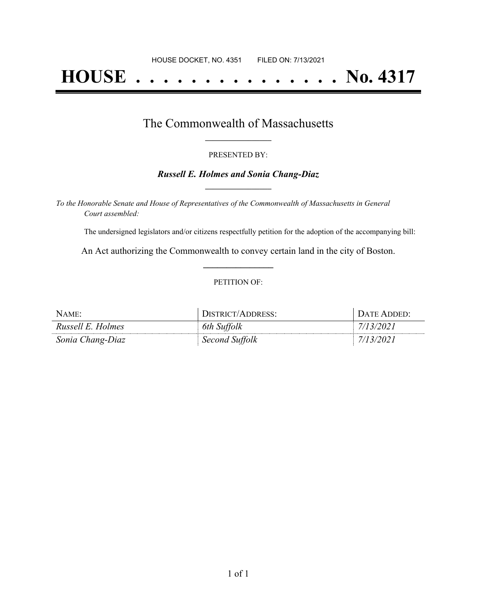# **HOUSE . . . . . . . . . . . . . . . No. 4317**

## The Commonwealth of Massachusetts **\_\_\_\_\_\_\_\_\_\_\_\_\_\_\_\_\_**

#### PRESENTED BY:

## *Russell E. Holmes and Sonia Chang-Diaz* **\_\_\_\_\_\_\_\_\_\_\_\_\_\_\_\_\_**

*To the Honorable Senate and House of Representatives of the Commonwealth of Massachusetts in General Court assembled:*

The undersigned legislators and/or citizens respectfully petition for the adoption of the accompanying bill:

An Act authorizing the Commonwealth to convey certain land in the city of Boston. **\_\_\_\_\_\_\_\_\_\_\_\_\_\_\_**

### PETITION OF:

| NAME:             | DISTRICT/ADDRESS: | DATE ADDED: |
|-------------------|-------------------|-------------|
| Russell E. Holmes | 6th Suffolk       | 7/13/2021   |
| Sonia Chang-Diaz  | Second Suffolk    | 7/13/2021   |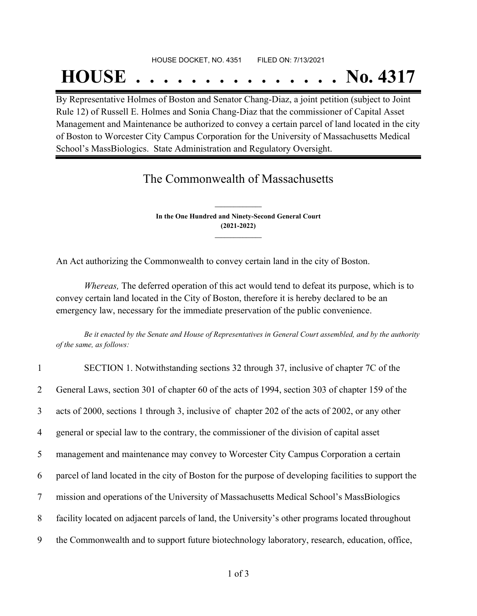# HOUSE DOCKET, NO. 4351 FILED ON: 7/13/2021 **HOUSE . . . . . . . . . . . . . . . No. 4317**

By Representative Holmes of Boston and Senator Chang-Diaz, a joint petition (subject to Joint Rule 12) of Russell E. Holmes and Sonia Chang-Diaz that the commissioner of Capital Asset Management and Maintenance be authorized to convey a certain parcel of land located in the city of Boston to Worcester City Campus Corporation for the University of Massachusetts Medical School's MassBiologics. State Administration and Regulatory Oversight.

## The Commonwealth of Massachusetts

**In the One Hundred and Ninety-Second General Court (2021-2022) \_\_\_\_\_\_\_\_\_\_\_\_\_\_\_**

**\_\_\_\_\_\_\_\_\_\_\_\_\_\_\_**

An Act authorizing the Commonwealth to convey certain land in the city of Boston.

*Whereas,* The deferred operation of this act would tend to defeat its purpose, which is to convey certain land located in the City of Boston, therefore it is hereby declared to be an emergency law, necessary for the immediate preservation of the public convenience.

Be it enacted by the Senate and House of Representatives in General Court assembled, and by the authority *of the same, as follows:*

| $\mathbf{1}$   | SECTION 1. Notwithstanding sections 32 through 37, inclusive of chapter 7C of the                    |
|----------------|------------------------------------------------------------------------------------------------------|
| $\overline{2}$ | General Laws, section 301 of chapter 60 of the acts of 1994, section 303 of chapter 159 of the       |
| 3              | acts of 2000, sections 1 through 3, inclusive of chapter 202 of the acts of 2002, or any other       |
| 4              | general or special law to the contrary, the commissioner of the division of capital asset            |
| 5              | management and maintenance may convey to Worcester City Campus Corporation a certain                 |
| 6              | parcel of land located in the city of Boston for the purpose of developing facilities to support the |
| $\overline{7}$ | mission and operations of the University of Massachusetts Medical School's MassBiologics             |
| 8              | facility located on adjacent parcels of land, the University's other programs located throughout     |
| 9              | the Commonwealth and to support future biotechnology laboratory, research, education, office,        |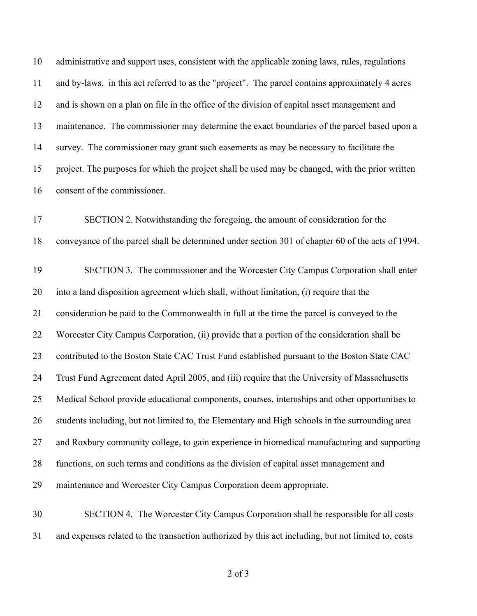administrative and support uses, consistent with the applicable zoning laws, rules, regulations and by-laws, in this act referred to as the "project". The parcel contains approximately 4 acres and is shown on a plan on file in the office of the division of capital asset management and maintenance. The commissioner may determine the exact boundaries of the parcel based upon a survey. The commissioner may grant such easements as may be necessary to facilitate the project. The purposes for which the project shall be used may be changed, with the prior written consent of the commissioner.

 SECTION 2. Notwithstanding the foregoing, the amount of consideration for the conveyance of the parcel shall be determined under section 301 of chapter 60 of the acts of 1994.

 SECTION 3. The commissioner and the Worcester City Campus Corporation shall enter into a land disposition agreement which shall, without limitation, (i) require that the consideration be paid to the Commonwealth in full at the time the parcel is conveyed to the Worcester City Campus Corporation, (ii) provide that a portion of the consideration shall be 23 contributed to the Boston State CAC Trust Fund established pursuant to the Boston State CAC Trust Fund Agreement dated April 2005, and (iii) require that the University of Massachusetts Medical School provide educational components, courses, internships and other opportunities to students including, but not limited to, the Elementary and High schools in the surrounding area and Roxbury community college, to gain experience in biomedical manufacturing and supporting functions, on such terms and conditions as the division of capital asset management and maintenance and Worcester City Campus Corporation deem appropriate.

 SECTION 4. The Worcester City Campus Corporation shall be responsible for all costs and expenses related to the transaction authorized by this act including, but not limited to, costs

of 3